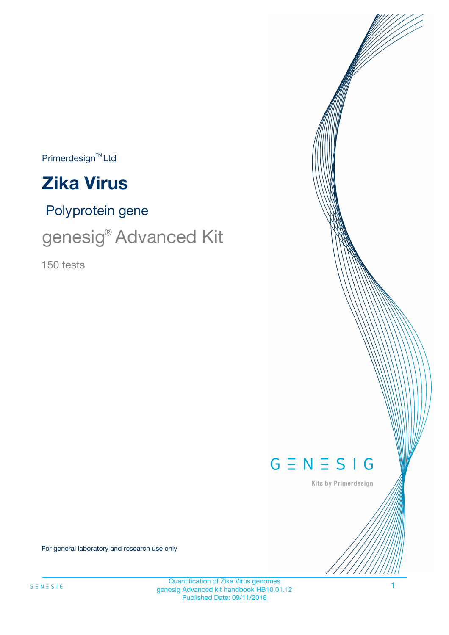$\mathsf{Primerdesign}^{\scriptscriptstyle \mathsf{TM}}\mathsf{Ltd}$ 



Polyprotein gene

genesig® Advanced Kit

150 tests



Kits by Primerdesign

For general laboratory and research use only

1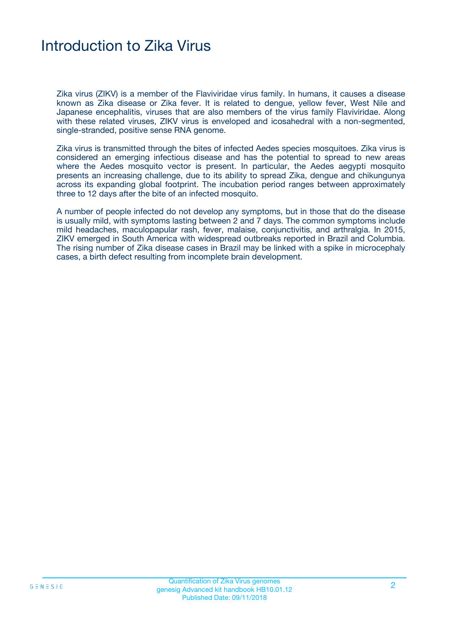# Introduction to Zika Virus

Zika virus (ZIKV) is a member of the Flaviviridae virus family. In humans, it causes a disease known as Zika disease or Zika fever. It is related to dengue, yellow fever, West Nile and Japanese encephalitis, viruses that are also members of the virus family Flaviviridae. Along with these related viruses, ZIKV virus is enveloped and icosahedral with a non-segmented, single-stranded, positive sense RNA genome.

Zika virus is transmitted through the bites of infected Aedes species mosquitoes. Zika virus is considered an emerging infectious disease and has the potential to spread to new areas where the Aedes mosquito vector is present. In particular, the Aedes aegypti mosquito presents an increasing challenge, due to its ability to spread Zika, dengue and chikungunya across its expanding global footprint. The incubation period ranges between approximately three to 12 days after the bite of an infected mosquito.

A number of people infected do not develop any symptoms, but in those that do the disease is usually mild, with symptoms lasting between 2 and 7 days. The common symptoms include mild headaches, maculopapular rash, fever, malaise, conjunctivitis, and arthralgia. In 2015, ZIKV emerged in South America with widespread outbreaks reported in Brazil and Columbia. The rising number of Zika disease cases in Brazil may be linked with a spike in microcephaly cases, a birth defect resulting from incomplete brain development.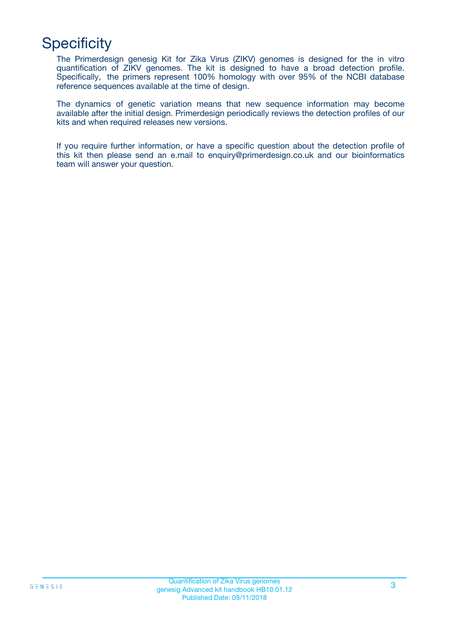# **Specificity**

The Primerdesign genesig Kit for Zika Virus (ZIKV) genomes is designed for the in vitro quantification of ZIKV genomes. The kit is designed to have a broad detection profile. Specifically, the primers represent 100% homology with over 95% of the NCBI database reference sequences available at the time of design.

The dynamics of genetic variation means that new sequence information may become available after the initial design. Primerdesign periodically reviews the detection profiles of our kits and when required releases new versions.

If you require further information, or have a specific question about the detection profile of this kit then please send an e.mail to enquiry@primerdesign.co.uk and our bioinformatics team will answer your question.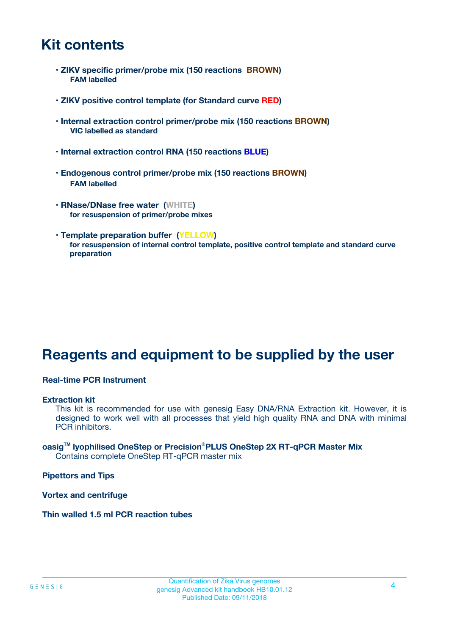# **Kit contents**

- **ZIKV specific primer/probe mix (150 reactions BROWN) FAM labelled**
- **ZIKV positive control template (for Standard curve RED)**
- **Internal extraction control primer/probe mix (150 reactions BROWN) VIC labelled as standard**
- **Internal extraction control RNA (150 reactions BLUE)**
- **Endogenous control primer/probe mix (150 reactions BROWN) FAM labelled**
- **RNase/DNase free water (WHITE) for resuspension of primer/probe mixes**
- **Template preparation buffer (YELLOW) for resuspension of internal control template, positive control template and standard curve preparation**

# **Reagents and equipment to be supplied by the user**

### **Real-time PCR Instrument**

#### **Extraction kit**

This kit is recommended for use with genesig Easy DNA/RNA Extraction kit. However, it is designed to work well with all processes that yield high quality RNA and DNA with minimal PCR inhibitors.

#### **oasigTM lyophilised OneStep or Precision**®**PLUS OneStep 2X RT-qPCR Master Mix** Contains complete OneStep RT-qPCR master mix

**Pipettors and Tips**

**Vortex and centrifuge**

**Thin walled 1.5 ml PCR reaction tubes**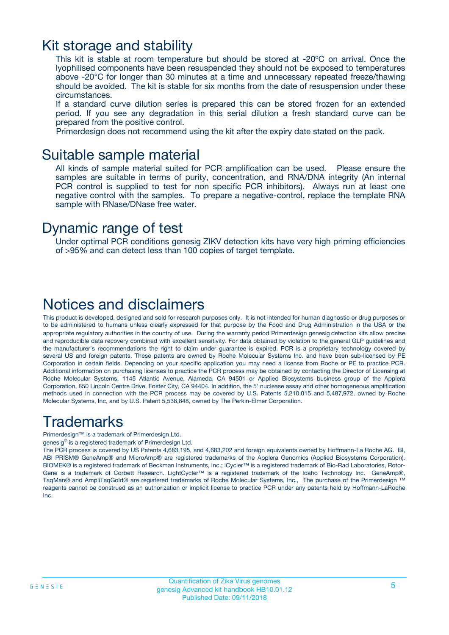## Kit storage and stability

This kit is stable at room temperature but should be stored at -20ºC on arrival. Once the lyophilised components have been resuspended they should not be exposed to temperatures above -20°C for longer than 30 minutes at a time and unnecessary repeated freeze/thawing should be avoided. The kit is stable for six months from the date of resuspension under these circumstances.

If a standard curve dilution series is prepared this can be stored frozen for an extended period. If you see any degradation in this serial dilution a fresh standard curve can be prepared from the positive control.

Primerdesign does not recommend using the kit after the expiry date stated on the pack.

### Suitable sample material

All kinds of sample material suited for PCR amplification can be used. Please ensure the samples are suitable in terms of purity, concentration, and RNA/DNA integrity (An internal PCR control is supplied to test for non specific PCR inhibitors). Always run at least one negative control with the samples. To prepare a negative-control, replace the template RNA sample with RNase/DNase free water.

### Dynamic range of test

Under optimal PCR conditions genesig ZIKV detection kits have very high priming efficiencies of >95% and can detect less than 100 copies of target template.

# Notices and disclaimers

This product is developed, designed and sold for research purposes only. It is not intended for human diagnostic or drug purposes or to be administered to humans unless clearly expressed for that purpose by the Food and Drug Administration in the USA or the appropriate regulatory authorities in the country of use. During the warranty period Primerdesign genesig detection kits allow precise and reproducible data recovery combined with excellent sensitivity. For data obtained by violation to the general GLP guidelines and the manufacturer's recommendations the right to claim under guarantee is expired. PCR is a proprietary technology covered by several US and foreign patents. These patents are owned by Roche Molecular Systems Inc. and have been sub-licensed by PE Corporation in certain fields. Depending on your specific application you may need a license from Roche or PE to practice PCR. Additional information on purchasing licenses to practice the PCR process may be obtained by contacting the Director of Licensing at Roche Molecular Systems, 1145 Atlantic Avenue, Alameda, CA 94501 or Applied Biosystems business group of the Applera Corporation, 850 Lincoln Centre Drive, Foster City, CA 94404. In addition, the 5' nuclease assay and other homogeneous amplification methods used in connection with the PCR process may be covered by U.S. Patents 5,210,015 and 5,487,972, owned by Roche Molecular Systems, Inc, and by U.S. Patent 5,538,848, owned by The Perkin-Elmer Corporation.

# Trademarks

Primerdesign™ is a trademark of Primerdesign Ltd.

genesig® is a registered trademark of Primerdesign Ltd.

The PCR process is covered by US Patents 4,683,195, and 4,683,202 and foreign equivalents owned by Hoffmann-La Roche AG. BI, ABI PRISM® GeneAmp® and MicroAmp® are registered trademarks of the Applera Genomics (Applied Biosystems Corporation). BIOMEK® is a registered trademark of Beckman Instruments, Inc.; iCycler™ is a registered trademark of Bio-Rad Laboratories, Rotor-Gene is a trademark of Corbett Research. LightCycler™ is a registered trademark of the Idaho Technology Inc. GeneAmp®, TaqMan® and AmpliTaqGold® are registered trademarks of Roche Molecular Systems, Inc., The purchase of the Primerdesign ™ reagents cannot be construed as an authorization or implicit license to practice PCR under any patents held by Hoffmann-LaRoche Inc.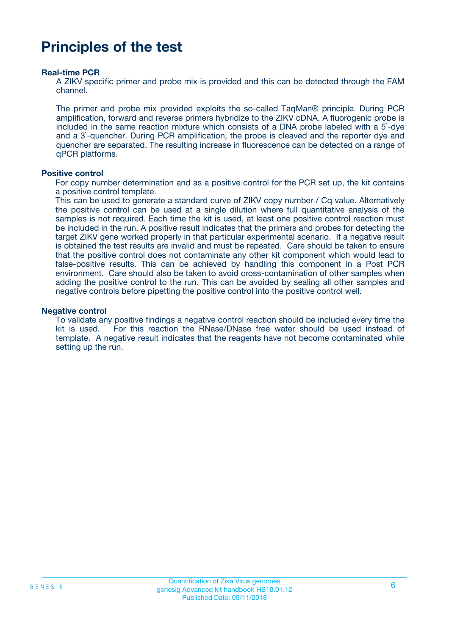# **Principles of the test**

### **Real-time PCR**

A ZIKV specific primer and probe mix is provided and this can be detected through the FAM channel.

The primer and probe mix provided exploits the so-called TaqMan® principle. During PCR amplification, forward and reverse primers hybridize to the ZIKV cDNA. A fluorogenic probe is included in the same reaction mixture which consists of a DNA probe labeled with a 5`-dye and a 3`-quencher. During PCR amplification, the probe is cleaved and the reporter dye and quencher are separated. The resulting increase in fluorescence can be detected on a range of qPCR platforms.

### **Positive control**

For copy number determination and as a positive control for the PCR set up, the kit contains a positive control template.

This can be used to generate a standard curve of ZIKV copy number / Cq value. Alternatively the positive control can be used at a single dilution where full quantitative analysis of the samples is not required. Each time the kit is used, at least one positive control reaction must be included in the run. A positive result indicates that the primers and probes for detecting the target ZIKV gene worked properly in that particular experimental scenario. If a negative result is obtained the test results are invalid and must be repeated. Care should be taken to ensure that the positive control does not contaminate any other kit component which would lead to false-positive results. This can be achieved by handling this component in a Post PCR environment. Care should also be taken to avoid cross-contamination of other samples when adding the positive control to the run. This can be avoided by sealing all other samples and negative controls before pipetting the positive control into the positive control well.

#### **Negative control**

To validate any positive findings a negative control reaction should be included every time the kit is used. For this reaction the RNase/DNase free water should be used instead of template. A negative result indicates that the reagents have not become contaminated while setting up the run.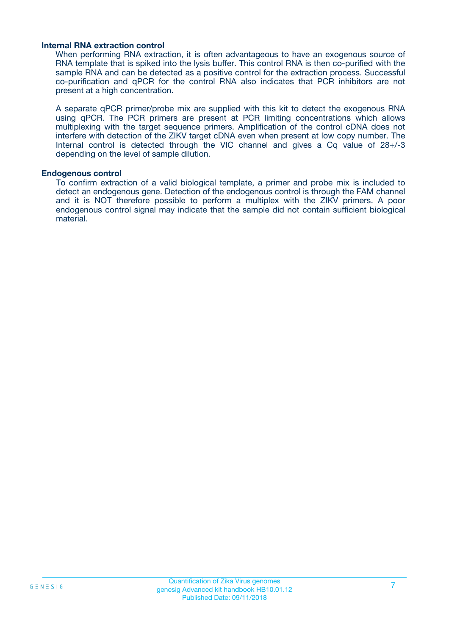### **Internal RNA extraction control**

When performing RNA extraction, it is often advantageous to have an exogenous source of RNA template that is spiked into the lysis buffer. This control RNA is then co-purified with the sample RNA and can be detected as a positive control for the extraction process. Successful co-purification and qPCR for the control RNA also indicates that PCR inhibitors are not present at a high concentration.

A separate qPCR primer/probe mix are supplied with this kit to detect the exogenous RNA using qPCR. The PCR primers are present at PCR limiting concentrations which allows multiplexing with the target sequence primers. Amplification of the control cDNA does not interfere with detection of the ZIKV target cDNA even when present at low copy number. The Internal control is detected through the VIC channel and gives a Cq value of 28+/-3 depending on the level of sample dilution.

#### **Endogenous control**

To confirm extraction of a valid biological template, a primer and probe mix is included to detect an endogenous gene. Detection of the endogenous control is through the FAM channel and it is NOT therefore possible to perform a multiplex with the ZIKV primers. A poor endogenous control signal may indicate that the sample did not contain sufficient biological material.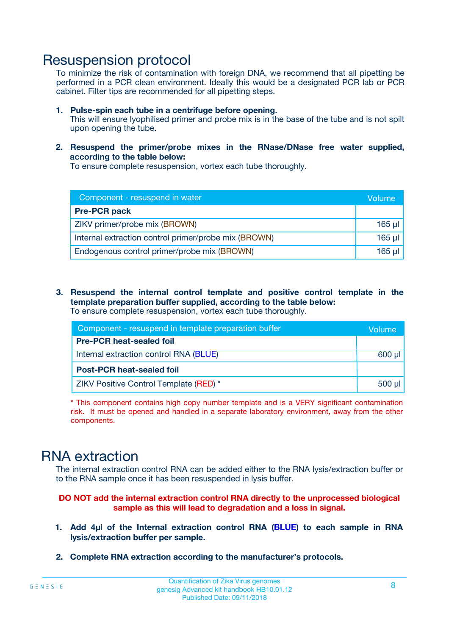## Resuspension protocol

To minimize the risk of contamination with foreign DNA, we recommend that all pipetting be performed in a PCR clean environment. Ideally this would be a designated PCR lab or PCR cabinet. Filter tips are recommended for all pipetting steps.

- **1. Pulse-spin each tube in a centrifuge before opening.** This will ensure lyophilised primer and probe mix is in the base of the tube and is not spilt upon opening the tube.
- **2. Resuspend the primer/probe mixes in the RNase/DNase free water supplied, according to the table below:**

To ensure complete resuspension, vortex each tube thoroughly.

| Component - resuspend in water                       |          |  |
|------------------------------------------------------|----------|--|
| <b>Pre-PCR pack</b>                                  |          |  |
| ZIKV primer/probe mix (BROWN)                        | $165$ µl |  |
| Internal extraction control primer/probe mix (BROWN) | $165$ µl |  |
| Endogenous control primer/probe mix (BROWN)          | 165 µl   |  |

**3. Resuspend the internal control template and positive control template in the template preparation buffer supplied, according to the table below:** To ensure complete resuspension, vortex each tube thoroughly.

| Component - resuspend in template preparation buffer |             |  |  |
|------------------------------------------------------|-------------|--|--|
| <b>Pre-PCR heat-sealed foil</b>                      |             |  |  |
| Internal extraction control RNA (BLUE)               |             |  |  |
| <b>Post-PCR heat-sealed foil</b>                     |             |  |  |
| ZIKV Positive Control Template (RED) *               | $500$ $\mu$ |  |  |

\* This component contains high copy number template and is a VERY significant contamination risk. It must be opened and handled in a separate laboratory environment, away from the other components.

# RNA extraction

The internal extraction control RNA can be added either to the RNA lysis/extraction buffer or to the RNA sample once it has been resuspended in lysis buffer.

### **DO NOT add the internal extraction control RNA directly to the unprocessed biological sample as this will lead to degradation and a loss in signal.**

- **1. Add 4µ**l **of the Internal extraction control RNA (BLUE) to each sample in RNA lysis/extraction buffer per sample.**
- **2. Complete RNA extraction according to the manufacturer's protocols.**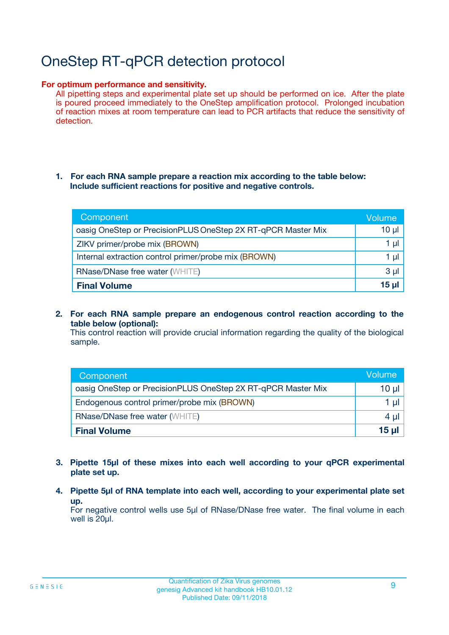# OneStep RT-qPCR detection protocol

### **For optimum performance and sensitivity.**

All pipetting steps and experimental plate set up should be performed on ice. After the plate is poured proceed immediately to the OneStep amplification protocol. Prolonged incubation of reaction mixes at room temperature can lead to PCR artifacts that reduce the sensitivity of detection.

### **1. For each RNA sample prepare a reaction mix according to the table below: Include sufficient reactions for positive and negative controls.**

| Component                                                    | <b>Volume</b> |
|--------------------------------------------------------------|---------------|
| oasig OneStep or PrecisionPLUS OneStep 2X RT-qPCR Master Mix | $10 \mu$      |
| ZIKV primer/probe mix (BROWN)                                | 1 µI          |
| Internal extraction control primer/probe mix (BROWN)         | 1 µl          |
| <b>RNase/DNase free water (WHITE)</b>                        | $3 \mu$       |
| <b>Final Volume</b>                                          | 15 µl         |

**2. For each RNA sample prepare an endogenous control reaction according to the table below (optional):**

This control reaction will provide crucial information regarding the quality of the biological sample.

| Component                                                    | Volume   |
|--------------------------------------------------------------|----------|
| oasig OneStep or PrecisionPLUS OneStep 2X RT-qPCR Master Mix | 10 $\mu$ |
| Endogenous control primer/probe mix (BROWN)                  | 1 ul     |
| <b>RNase/DNase free water (WHITE)</b>                        | $4 \mu$  |
| <b>Final Volume</b>                                          | 15 µl    |

- **3. Pipette 15µl of these mixes into each well according to your qPCR experimental plate set up.**
- **4. Pipette 5µl of RNA template into each well, according to your experimental plate set up.**

For negative control wells use 5µl of RNase/DNase free water. The final volume in each well is 20µl.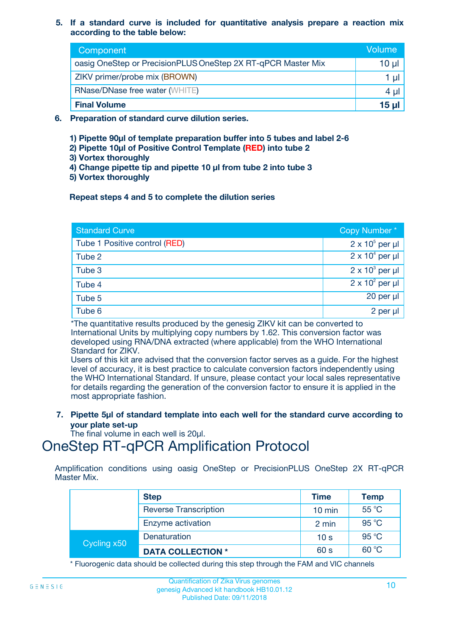### **5. If a standard curve is included for quantitative analysis prepare a reaction mix according to the table below:**

| Component                                                    | Volume  |
|--------------------------------------------------------------|---------|
| oasig OneStep or PrecisionPLUS OneStep 2X RT-qPCR Master Mix | 10 µl   |
| ZIKV primer/probe mix (BROWN)                                |         |
| <b>RNase/DNase free water (WHITE)</b>                        | $4 \mu$ |
| <b>Final Volume</b>                                          | 15 ul   |

- **6. Preparation of standard curve dilution series.**
	- **1) Pipette 90µl of template preparation buffer into 5 tubes and label 2-6**
	- **2) Pipette 10µl of Positive Control Template (RED) into tube 2**
	- **3) Vortex thoroughly**
	- **4) Change pipette tip and pipette 10 µl from tube 2 into tube 3**
	- **5) Vortex thoroughly**

### **Repeat steps 4 and 5 to complete the dilution series**

| <b>Standard Curve</b>         | Copy Number*           |
|-------------------------------|------------------------|
| Tube 1 Positive control (RED) | $2 \times 10^5$ per µl |
| Tube 2                        | $2 \times 10^4$ per µl |
| Tube 3                        | $2 \times 10^3$ per µl |
| Tube 4                        | $2 \times 10^2$ per µl |
| Tube 5                        | $20$ per $\mu$         |
| Tube 6                        | 2 per µl               |

\*The quantitative results produced by the genesig ZIKV kit can be converted to International Units by multiplying copy numbers by 1.62. This conversion factor was developed using RNA/DNA extracted (where applicable) from the WHO International Standard for ZIKV.

Users of this kit are advised that the conversion factor serves as a guide. For the highest level of accuracy, it is best practice to calculate conversion factors independently using the WHO International Standard. If unsure, please contact your local sales representative for details regarding the generation of the conversion factor to ensure it is applied in the most appropriate fashion.

**7. Pipette 5µl of standard template into each well for the standard curve according to your plate set-up**

The final volume in each well is 20ul.

# OneStep RT-qPCR Amplification Protocol

Amplification conditions using oasig OneStep or PrecisionPLUS OneStep 2X RT-qPCR Master Mix.

|             | <b>Step</b>                  | <b>Time</b>      | <b>Temp</b> |
|-------------|------------------------------|------------------|-------------|
|             | <b>Reverse Transcription</b> | $10 \text{ min}$ | 55 °C       |
|             | Enzyme activation            | 2 min            | 95 °C       |
| Cycling x50 | Denaturation                 | 10 <sub>s</sub>  | 95 °C       |
|             | <b>DATA COLLECTION *</b>     | 60 s             | 60 °C       |

\* Fluorogenic data should be collected during this step through the FAM and VIC channels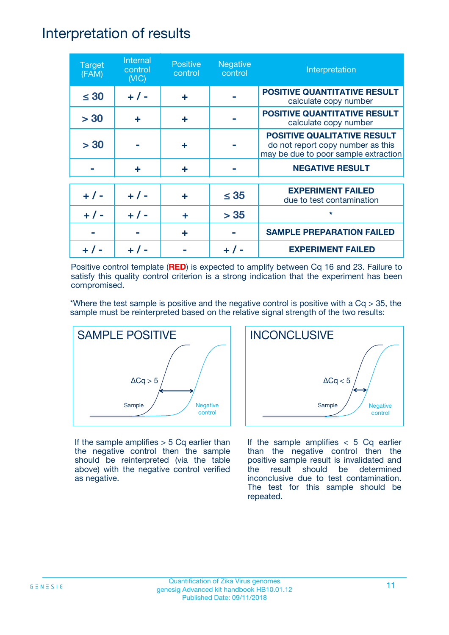## Interpretation of results

| <b>Target</b><br>(FAM) | Internal<br>control<br>(NIC) | <b>Positive</b><br>control | <b>Negative</b><br>control | Interpretation                                                                                                  |
|------------------------|------------------------------|----------------------------|----------------------------|-----------------------------------------------------------------------------------------------------------------|
| $\leq 30$              | $+ 1 -$                      | ÷                          |                            | <b>POSITIVE QUANTITATIVE RESULT</b><br>calculate copy number                                                    |
| > 30                   | ÷                            | ÷                          |                            | <b>POSITIVE QUANTITATIVE RESULT</b><br>calculate copy number                                                    |
| > 30                   |                              | ÷                          |                            | <b>POSITIVE QUALITATIVE RESULT</b><br>do not report copy number as this<br>may be due to poor sample extraction |
|                        | ÷                            | ÷                          |                            | <b>NEGATIVE RESULT</b>                                                                                          |
| $+ 1 -$                | $+ 1 -$                      | ÷                          | $\leq$ 35                  | <b>EXPERIMENT FAILED</b><br>due to test contamination                                                           |
|                        | $+$ / -                      |                            | > 35                       | $\star$                                                                                                         |
|                        |                              | ÷                          |                            | <b>SAMPLE PREPARATION FAILED</b>                                                                                |
|                        |                              |                            |                            | <b>EXPERIMENT FAILED</b>                                                                                        |

Positive control template (**RED**) is expected to amplify between Cq 16 and 23. Failure to satisfy this quality control criterion is a strong indication that the experiment has been compromised.

\*Where the test sample is positive and the negative control is positive with a  $Cq > 35$ , the sample must be reinterpreted based on the relative signal strength of the two results:



If the sample amplifies  $> 5$  Cq earlier than the negative control then the sample should be reinterpreted (via the table above) with the negative control verified as negative.



If the sample amplifies  $< 5$  Cq earlier than the negative control then the positive sample result is invalidated and the result should be determined inconclusive due to test contamination. The test for this sample should be repeated.